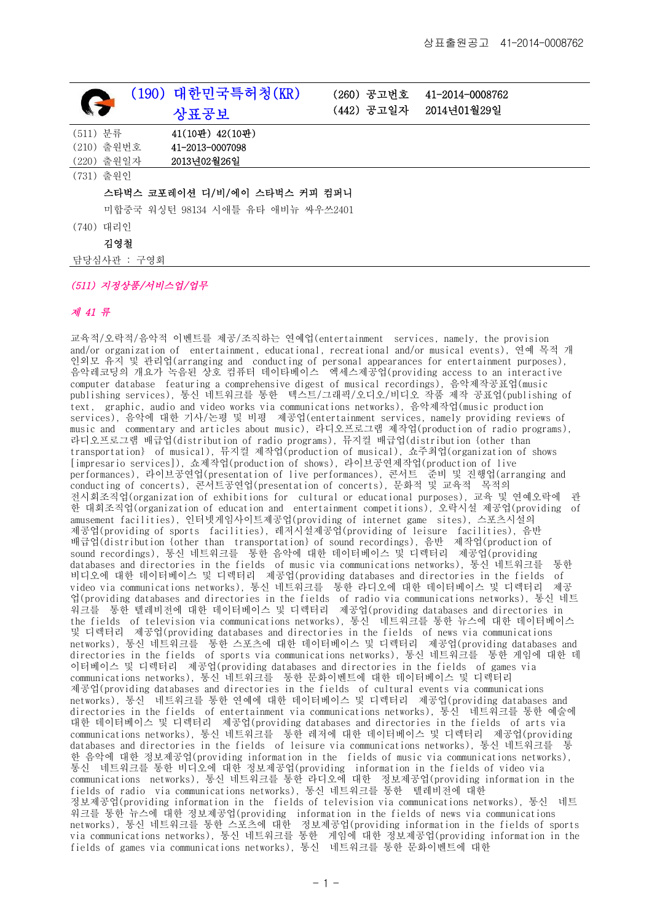|          |                                   | (190) 대한민국특허청(KR)   | (260) 공고번호 | 41-2014-0008762 |
|----------|-----------------------------------|---------------------|------------|-----------------|
| S        |                                   | 상표공보                | (442) 공고일자 | 2014년01월29일     |
| (511) 분류 |                                   | $41(10꽌)$ $42(10・)$ |            |                 |
|          | (210) 출원번호                        | 41-2013-0007098     |            |                 |
|          | (220) 출원일자                        | 2013년02월26일         |            |                 |
|          | (731) 출원인                         |                     |            |                 |
|          | 스타벅스 코포레이션 디/비/에이 스타벅스 커피 컴퍼니     |                     |            |                 |
|          | 미합중국 워싱턴 98134 시애틀 유타 애비뉴 싸우쓰2401 |                     |            |                 |
| (740)    | 대리인                               |                     |            |                 |
|          | 김영철                               |                     |            |                 |

담당심사관 : 구영회

## (511) 지정상품/서비스업/업무

## 제 41 류

교육적/오락적/음악적 이벤트를 제공/조직하는 연예업(entertainment services, namely, the provision and/or organization of entertainment, educational, recreational and/or musical events), 연예 목적 개 인외모 유지 및 관리업(arranging and conducting of personal appearances for entertainment purposes), 음악레코딩의 개요가 녹음된 상호 컴퓨터 데이타베이스 엑세스제공업(providing access to an interactive computer database featuring a comprehensive digest of musical recordings), 음악제작공표업(music publishing services), 통신 네트워크를 통한 텍스트/그래픽/오디오/비디오 작품 제작 공표업(publishing of text, graphic, audio and video works via communications networks), 음악제작업(music production services), 음악에 대한 기사/논평 및 비평 제공업(entertainment services, namely providing reviews of music and commentary and articles about music), 라디오프로그램 제작업(production of radio programs), 라디오프로그램 배급업(distribution of radio programs), 뮤지컬 배급업(distribution {other than transportation} of musical), 뮤지컬 제작업(production of musical), 쇼주최업(organization of shows [impresario services]), 쇼제작업(production of shows), 라이브공연제작업(production of live performances), 라이브공연업(presentation of live performances), 콘서트 준비 및 진행업(arranging and conducting of concerts), 콘서트공연업(presentation of concerts), 문화적 및 교육적 목적의 전시회조직업(organization of exhibitions for cultural or educational purposes), 교육 및 연예오락에 관 한 대회조직업(organization of education and entertainment competitions), 오락시설 제공업(providing of amusement facilities), 인터넷게임사이트제공업(providing of internet game sites), 스포츠시설의 제공업(providing of sports facilities), 레저시설제공업(providing of leisure facilities), 음반 배급업(distribution {other than transportation} of sound recordings), 음반 제작업(production of sound recordings), 통신 네트워크를 통한 음악에 대한 데이터베이스 및 디렉터리 제공업(providing databases and directories in the fields of music via communications networks), 통신 네트워크를 통한 비디오에 대한 데이터베이스 및 디렉터리 제공업(providing databases and directories in the fields of video via communications networks), 통신 네트워크를 통한 라디오에 대한 데이터베이스 및 디렉터리 제공 업(providing databases and directories in the fields of radio via communications networks), 통신 네트 워크를 통한 텔레비전에 대한 데이터베이스 및 디렉터리 제공업(providing databases and directories in the fields of television via communications networks), 통신 네트워크를 통한 뉴스에 대한 데이터베이스 및 디렉터리 제공업(providing databases and directories in the fields of news via communications networks), 통신 네트워크를 통한 스포츠에 대한 데이터베이스 및 디렉터리 제공업(providing databases and directories in the fields of sports via communications networks), 통신 네트워크를 통한 게임에 대한 데 이터베이스 및 디렉터리 제공업(providing databases and directories in the fields of games via communications networks), 통신 네트워크를 통한 문화이벤트에 대한 데이터베이스 및 디렉터리 제공업(providing databases and directories in the fields of cultural events via communications networks), 통신 네트워크를 통한 연예에 대한 데이터베이스 및 디렉터리 제공업(providing databases and directories in the fields of entertainment via communications networks), 통신 네트워크를 통한 예술에 대한 데이터베이스 및 디렉터리 제공업(providing databases and directories in the fields of arts via communications networks), 통신 네트워크를 통한 레저에 대한 데이터베이스 및 디렉터리 제공업(providing databases and directories in the fields of leisure via communications networks), 통신 네트워크를 통 한 음악에 대한 정보제공업(providing information in the fields of music via communications networks), 통신 네트워크를 통한 비디오에 대한 정보제공업(providing information in the fields of video via communications networks), 통신 네트워크를 통한 라디오에 대한 정보제공업(providing information in the fields of radio via communications networks), 통신 네트워크를 통한 텔레비전에 대한 정보제공업(providing information in the fields of television via communications networks), 통신 네트 워크를 통한 뉴스에 대한 정보제공업(providing information in the fields of news via communications networks), 통신 네트워크를 통한 스포츠에 대한 정보제공업(providing information in the fields of sports via communications networks), 통신 네트워크를 통한 게임에 대한 정보제공업(providing information in the fields of games via communications networks), 통신 네트워크를 통한 문화이벤트에 대한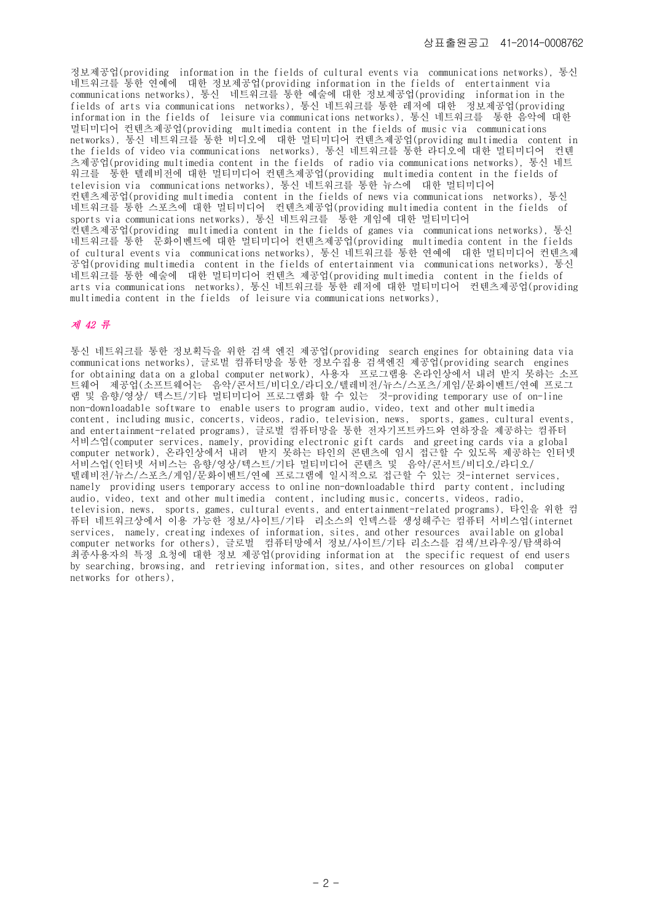정보제공업(providing information in the fields of cultural events via communications networks), 통신 네트워크를 통한 연예에 대한 정보제공업(providing information in the fields of entertainment via communications networks), 통신 네트워크를 통한 예술에 대한 정보제공업(providing information in the fields of arts via communications networks), 통신 네트워크를 통한 레저에 대한 정보제공업(providing information in the fields of leisure via communications networks), 통신 네트워크를 통한 음악에 대한 멀티미디어 컨텐츠제공업(providing multimedia content in the fields of music via communications networks), 통신 네트워크를 통한 비디오에 대한 멀티미디어 컨텐츠제공업(providing multimedia content in the fields of video via communications networks), 통신 네트워크를 통한 라디오에 대한 멀티미디어 컨텐 츠제공업(providing multimedia content in the fields of radio via communications networks), 통신 네트 워크를 통한 텔레비전에 대한 멀티미디어 컨텐츠제공업(providing multimedia content in the fields of television via communications networks), 통신 네트워크를 통한 뉴스에 대한 멀티미디어 컨텐츠제공업(providing multimedia content in the fields of news via communications networks), 통신 네트워크를 통한 스포츠에 대한 멀티미디어 컨텐츠제공업(providing multimedia content in the fields of sports via communications networks), 통신 네트워크를 통한 게임에 대한 멀티미디어 컨텐츠제공업(providing multimedia content in the fields of games via communications networks), 통신 네트워크를 통한 문화이벤트에 대한 멀티미디어 컨텐츠제공업(providing multimedia content in the fields of cultural events via communications networks), 통신 네트워크를 통한 연예에 대한 멀티미디어 컨텐츠제 공업(providing multimedia content in the fields of entertainment via communications networks), 통신 네트워크를 통한 예술에 대한 멀티미디어 컨텐츠 제공업(providing multimedia content in the fields of arts via communications networks), 통신 네트워크를 통한 레저에 대한 멀티미디어 컨텐츠제공업(providing multimedia content in the fields of leisure via communications networks),

## 제 42 류

통신 네트워크를 통한 정보획득을 위한 검색 엔진 제공업(providing search engines for obtaining data via communications networks), 글로벌 컴퓨터망을 통한 정보수집용 검색엔진 제공업(providing search engines for obtaining data on a global computer network), 사용자 프로그램용 온라인상에서 내려 받지 못하는 소프 트웨어 제공업(소프트웨어는 음악/콘서트/비디오/라디오/텔레비전/뉴스/스포츠/게임/문화이벤트/연예 프로그 램 및 음향/영상/ 텍스트/기타 멀티미디어 프로그램화 할 수 있는 것-providing temporary use of on-line non-downloadable software to enable users to program audio, video, text and other multimedia content, including music, concerts, videos, radio, television, news, sports, games, cultural events, and entertainment-related programs), 글로벌 컴퓨터망을 통한 전자기프트카드와 연하장을 제공하는 컴퓨터 서비스업(computer services, namely, providing electronic gift cards and greeting cards via a global computer network), 온라인상에서 내려 받지 못하는 타인의 콘텐츠에 임시 접근할 수 있도록 제공하는 인터넷 서비스업(인터넷 서비스는 음향/영상/텍스트/기타 멀티미디어 콘텐츠 및 음악/콘서트/비디오/라디오/ 텔레비전/뉴스/스포츠/게임/문화이벤트/연예 프로그램에 일시적으로 접근할 수 있는 것-internet services, namely providing users temporary access to online non-downloadable third party content, including audio, video, text and other multimedia content, including music, concerts, videos, radio, television, news, sports, games, cultural events, and entertainment-related programs), 타인을 위한 컴 퓨터 네트워크상에서 이용 가능한 정보/사이트/기타 리소스의 인덱스를 생성해주는 컴퓨터 서비스업(internet services, namely, creating indexes of information, sites, and other resources available on global computer networks for others), 글로벌 컴퓨터망에서 정보/사이트/기타 리소스를 검색/브라우징/탐색하여 최종사용자의 특정 요청에 대한 정보 제공업(providing information at the specific request of end users by searching, browsing, and retrieving information, sites, and other resources on global computer networks for others),